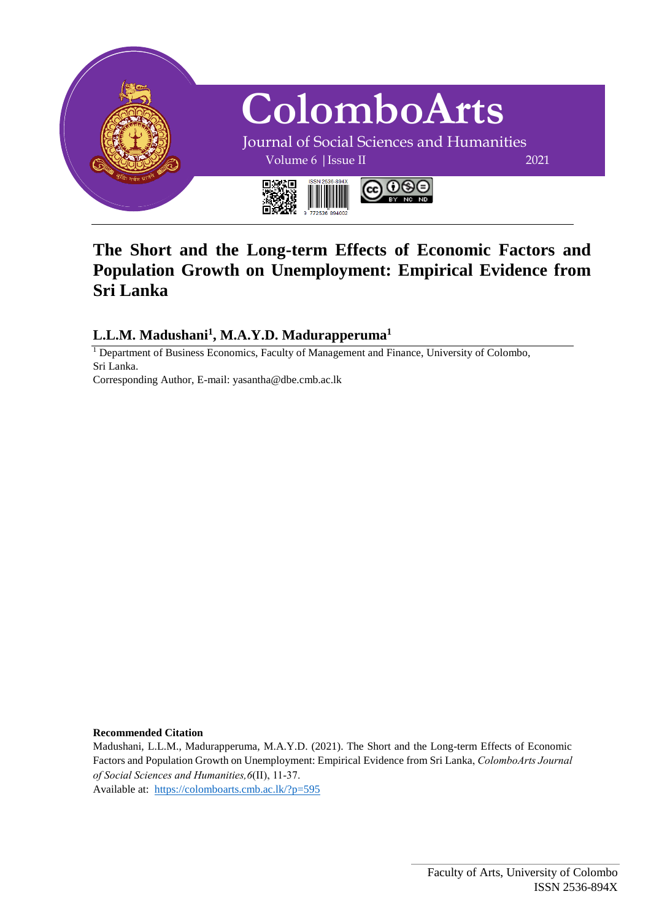

# **The Short and the Long-term Effects of Economic Factors and Population Growth on Unemployment: Empirical Evidence from Sri Lanka**

**L.L.M. Madushani<sup>1</sup> , M.A.Y.D. Madurapperuma<sup>1</sup>**

<sup>1</sup> Department of Business Economics, Faculty of Management and Finance, University of Colombo, Sri Lanka.

Corresponding Author, E-mail: yasantha@dbe.cmb.ac.lk

#### **Recommended Citation**

Madushani, L.L.M., Madurapperuma, M.A.Y.D. (2021). The Short and the Long-term Effects of Economic Factors and Population Growth on Unemployment: Empirical Evidence from Sri Lanka, *ColomboArts Journal of Social Sciences and Humanities,6*(II), 11-37.

Available at: <https://colomboarts.cmb.ac.lk/?p=595>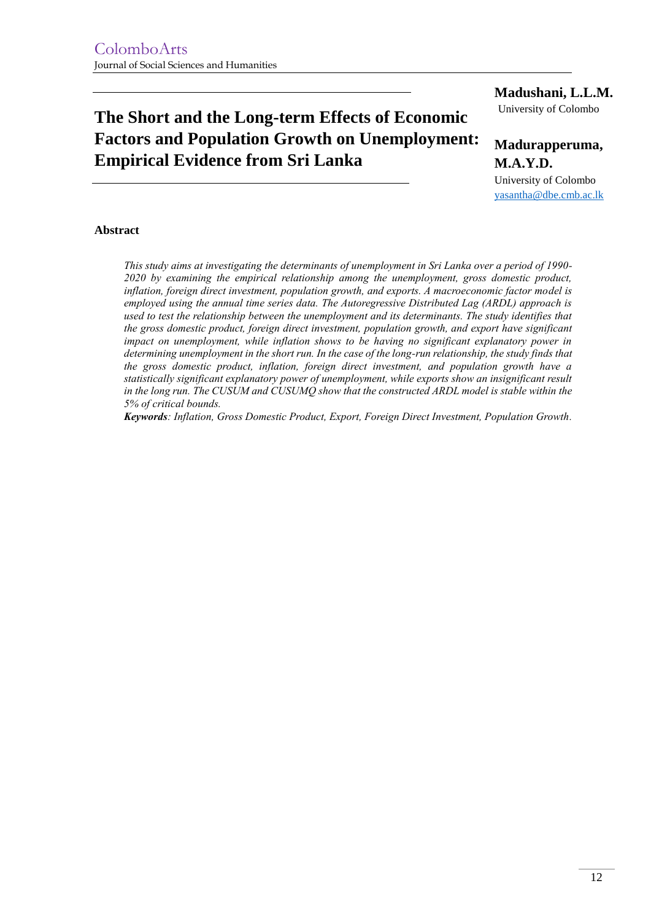# **The Short and the Long-term Effects of Economic Factors and Population Growth on Unemployment: Empirical Evidence from Sri Lanka**

#### **Madushani, L.L.M.**

University of Colombo

## **Madurapperuma, M.A.Y.D.**

University of Colombo [yasantha@dbe.cmb.ac.lk](mailto:yasantha@dbe.cmb.ac.lk)

#### **Abstract**

*This study aims at investigating the determinants of unemployment in Sri Lanka over a period of 1990- 2020 by examining the empirical relationship among the unemployment, gross domestic product, inflation, foreign direct investment, population growth, and exports. A macroeconomic factor model is employed using the annual time series data. The Autoregressive Distributed Lag (ARDL) approach is*  used to test the relationship between the unemployment and its determinants. The study identifies that *the gross domestic product, foreign direct investment, population growth, and export have significant impact on unemployment, while inflation shows to be having no significant explanatory power in determining unemployment in the short run. In the case of the long-run relationship, the study finds that the gross domestic product, inflation, foreign direct investment, and population growth have a statistically significant explanatory power of unemployment, while exports show an insignificant result in the long run. The CUSUM and CUSUMQ show that the constructed ARDL model is stable within the 5% of critical bounds.*

*Keywords: Inflation, Gross Domestic Product, Export, Foreign Direct Investment, Population Growth.*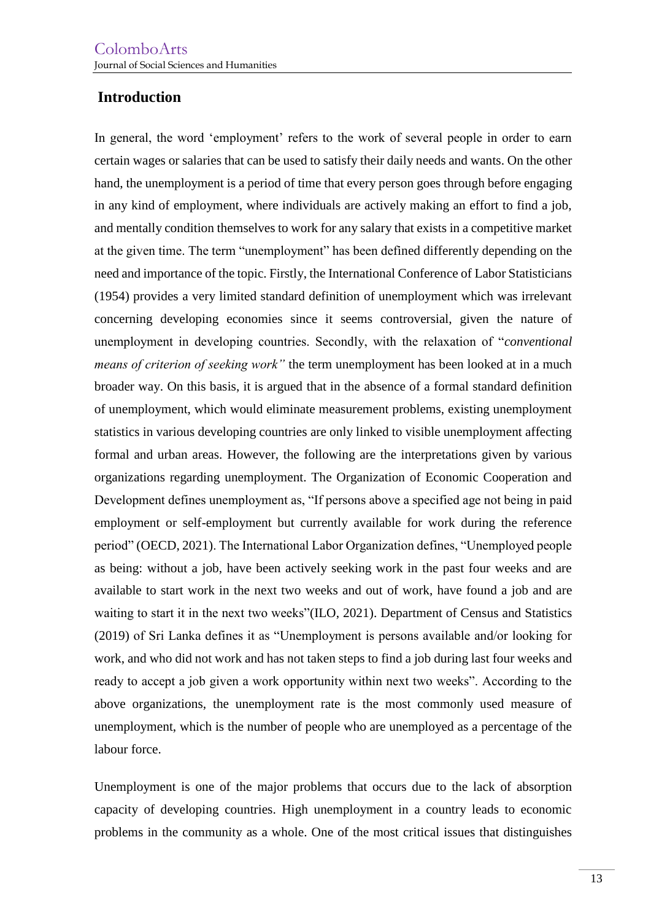# **Introduction**

In general, the word 'employment' refers to the work of several people in order to earn certain wages or salaries that can be used to satisfy their daily needs and wants. On the other hand, the unemployment is a period of time that every person goes through before engaging in any kind of employment, where individuals are actively making an effort to find a job, and mentally condition themselves to work for any salary that exists in a competitive market at the given time. The term "unemployment" has been defined differently depending on the need and importance of the topic. Firstly, the International Conference of Labor Statisticians (1954) provides a very limited standard definition of unemployment which was irrelevant concerning developing economies since it seems controversial, given the nature of unemployment in developing countries. Secondly, with the relaxation of "*conventional means of criterion of seeking work"* the term unemployment has been looked at in a much broader way. On this basis, it is argued that in the absence of a formal standard definition of unemployment, which would eliminate measurement problems, existing unemployment statistics in various developing countries are only linked to visible unemployment affecting formal and urban areas. However, the following are the interpretations given by various organizations regarding unemployment. The Organization of Economic Cooperation and Development defines unemployment as, "If persons above a specified age not being in paid employment or self-employment but currently available for work during the reference period" (OECD, 2021). The International Labor Organization defines, "Unemployed people as being: without a job, have been actively seeking work in the past four weeks and are available to start work in the next two weeks and out of work, have found a job and are waiting to start it in the next two weeks"(ILO, 2021). Department of Census and Statistics (2019) of Sri Lanka defines it as "Unemployment is persons available and/or looking for work, and who did not work and has not taken steps to find a job during last four weeks and ready to accept a job given a work opportunity within next two weeks". According to the above organizations, the unemployment rate is the most commonly used measure of unemployment, which is the number of people who are unemployed as a percentage of the labour force.

Unemployment is one of the major problems that occurs due to the lack of absorption capacity of developing countries. High unemployment in a country leads to economic problems in the community as a whole. One of the most critical issues that distinguishes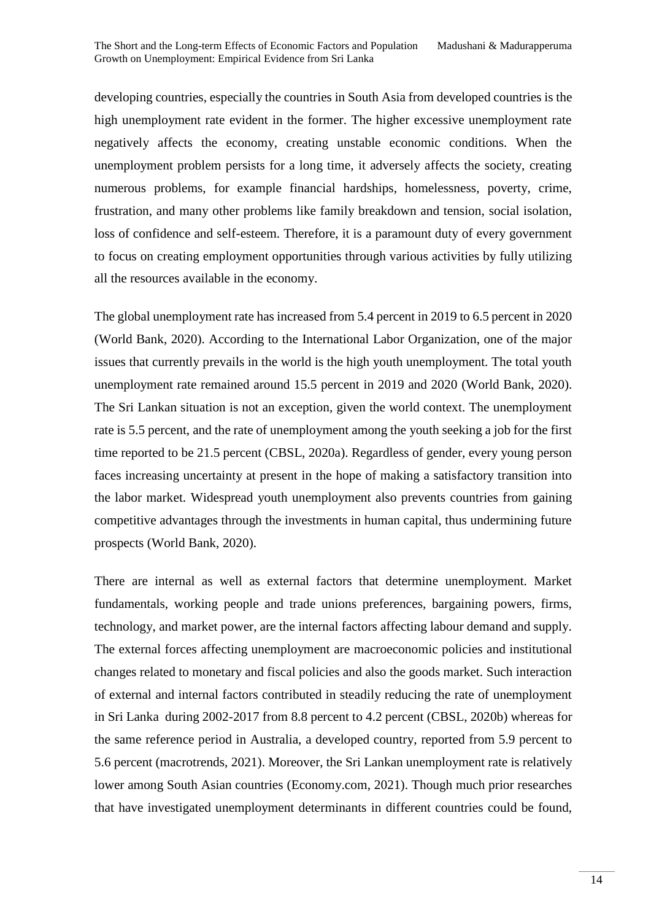developing countries, especially the countries in South Asia from developed countries is the high unemployment rate evident in the former. The higher excessive unemployment rate negatively affects the economy, creating unstable economic conditions. When the unemployment problem persists for a long time, it adversely affects the society, creating numerous problems, for example financial hardships, homelessness, poverty, crime, frustration, and many other problems like family breakdown and tension, social isolation, loss of confidence and self-esteem. Therefore, it is a paramount duty of every government to focus on creating employment opportunities through various activities by fully utilizing all the resources available in the economy.

The global unemployment rate has increased from 5.4 percent in 2019 to 6.5 percent in 2020 (World Bank, 2020). According to the International Labor Organization, one of the major issues that currently prevails in the world is the high youth unemployment. The total youth unemployment rate remained around 15.5 percent in 2019 and 2020 (World Bank, 2020). The Sri Lankan situation is not an exception, given the world context. The unemployment rate is 5.5 percent, and the rate of unemployment among the youth seeking a job for the first time reported to be 21.5 percent (CBSL, 2020a). Regardless of gender, every young person faces increasing uncertainty at present in the hope of making a satisfactory transition into the labor market. Widespread youth unemployment also prevents countries from gaining competitive advantages through the investments in human capital, thus undermining future prospects (World Bank, 2020).

There are internal as well as external factors that determine unemployment. Market fundamentals, working people and trade unions preferences, bargaining powers, firms, technology, and market power, are the internal factors affecting labour demand and supply. The external forces affecting unemployment are macroeconomic policies and institutional changes related to monetary and fiscal policies and also the goods market. Such interaction of external and internal factors contributed in steadily reducing the rate of unemployment in Sri Lanka during 2002-2017 from 8.8 percent to 4.2 percent (CBSL, 2020b) whereas for the same reference period in Australia, a developed country, reported from 5.9 percent to 5.6 percent (macrotrends, 2021). Moreover, the Sri Lankan unemployment rate is relatively lower among South Asian countries (Economy.com, 2021). Though much prior researches that have investigated unemployment determinants in different countries could be found,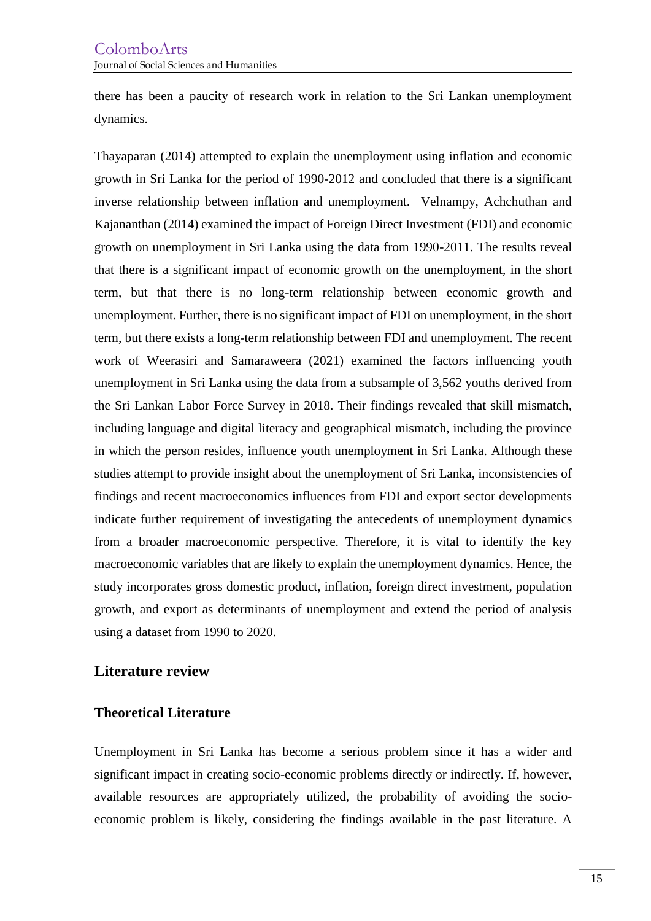there has been a paucity of research work in relation to the Sri Lankan unemployment dynamics.

Thayaparan (2014) attempted to explain the unemployment using inflation and economic growth in Sri Lanka for the period of 1990-2012 and concluded that there is a significant inverse relationship between inflation and unemployment. Velnampy, Achchuthan and Kajananthan (2014) examined the impact of Foreign Direct Investment (FDI) and economic growth on unemployment in Sri Lanka using the data from 1990-2011. The results reveal that there is a significant impact of economic growth on the unemployment, in the short term, but that there is no long-term relationship between economic growth and unemployment. Further, there is no significant impact of FDI on unemployment, in the short term, but there exists a long-term relationship between FDI and unemployment. The recent work of Weerasiri and Samaraweera (2021) examined the factors influencing youth unemployment in Sri Lanka using the data from a subsample of 3,562 youths derived from the Sri Lankan Labor Force Survey in 2018. Their findings revealed that skill mismatch, including language and digital literacy and geographical mismatch, including the province in which the person resides, influence youth unemployment in Sri Lanka. Although these studies attempt to provide insight about the unemployment of Sri Lanka, inconsistencies of findings and recent macroeconomics influences from FDI and export sector developments indicate further requirement of investigating the antecedents of unemployment dynamics from a broader macroeconomic perspective. Therefore, it is vital to identify the key macroeconomic variables that are likely to explain the unemployment dynamics. Hence, the study incorporates gross domestic product, inflation, foreign direct investment, population growth, and export as determinants of unemployment and extend the period of analysis using a dataset from 1990 to 2020.

### **Literature review**

### **Theoretical Literature**

Unemployment in Sri Lanka has become a serious problem since it has a wider and significant impact in creating socio-economic problems directly or indirectly. If, however, available resources are appropriately utilized, the probability of avoiding the socioeconomic problem is likely, considering the findings available in the past literature. A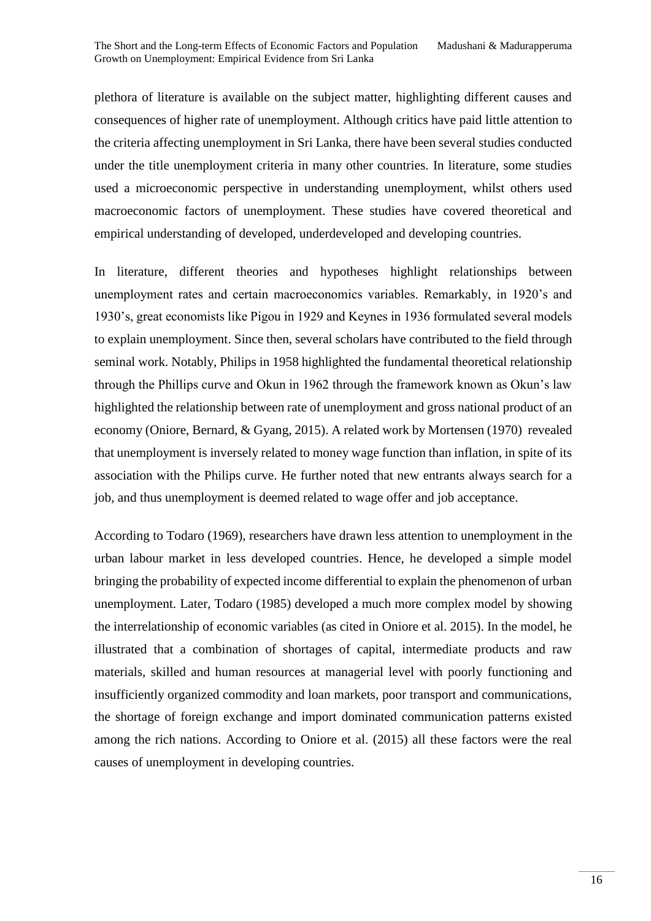plethora of literature is available on the subject matter, highlighting different causes and consequences of higher rate of unemployment. Although critics have paid little attention to the criteria affecting unemployment in Sri Lanka, there have been several studies conducted under the title unemployment criteria in many other countries. In literature, some studies used a microeconomic perspective in understanding unemployment, whilst others used macroeconomic factors of unemployment. These studies have covered theoretical and empirical understanding of developed, underdeveloped and developing countries.

In literature, different theories and hypotheses highlight relationships between unemployment rates and certain macroeconomics variables. Remarkably, in 1920's and 1930's, great economists like Pigou in 1929 and Keynes in 1936 formulated several models to explain unemployment. Since then, several scholars have contributed to the field through seminal work. Notably, Philips in 1958 highlighted the fundamental theoretical relationship through the Phillips curve and Okun in 1962 through the framework known as Okun's law highlighted the relationship between rate of unemployment and gross national product of an economy (Oniore, Bernard, & Gyang, 2015). A related work by Mortensen (1970) revealed that unemployment is inversely related to money wage function than inflation, in spite of its association with the Philips curve. He further noted that new entrants always search for a job, and thus unemployment is deemed related to wage offer and job acceptance.

According to Todaro (1969), researchers have drawn less attention to unemployment in the urban labour market in less developed countries. Hence, he developed a simple model bringing the probability of expected income differential to explain the phenomenon of urban unemployment. Later, Todaro (1985) developed a much more complex model by showing the interrelationship of economic variables (as cited in Oniore et al. 2015). In the model, he illustrated that a combination of shortages of capital, intermediate products and raw materials, skilled and human resources at managerial level with poorly functioning and insufficiently organized commodity and loan markets, poor transport and communications, the shortage of foreign exchange and import dominated communication patterns existed among the rich nations. According to Oniore et al. (2015) all these factors were the real causes of unemployment in developing countries.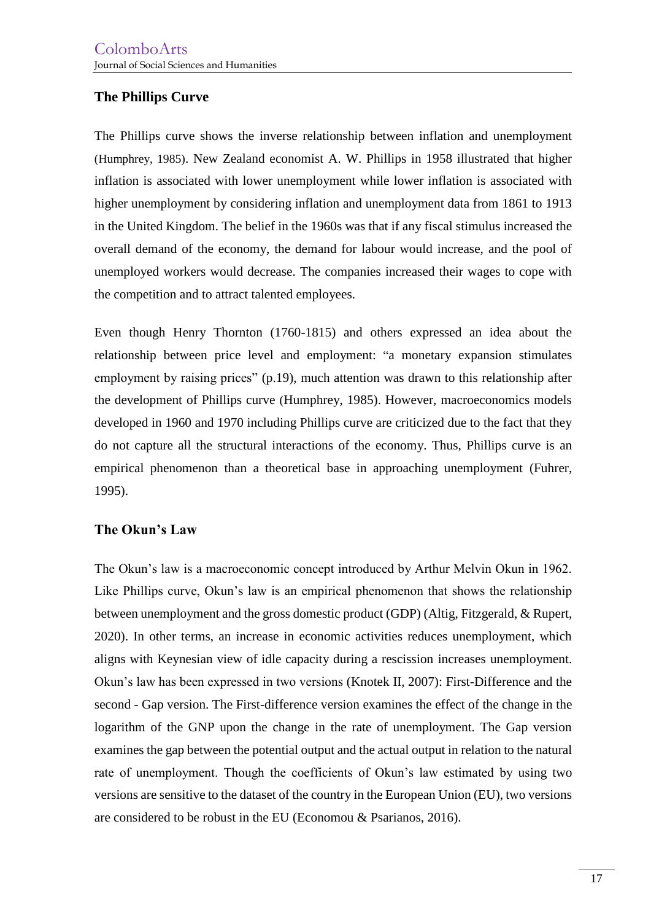### **The Phillips Curve**

The Phillips curve shows the inverse relationship between inflation and unemployment (Humphrey, 1985). New Zealand economist A. W. Phillips in 1958 illustrated that higher inflation is associated with lower unemployment while lower inflation is associated with higher unemployment by considering inflation and unemployment data from 1861 to 1913 in the United Kingdom. The belief in the 1960s was that if any fiscal stimulus increased the overall demand of the economy, the demand for labour would increase, and the pool of unemployed workers would decrease. The companies increased their wages to cope with the competition and to attract talented employees.

Even though Henry Thornton (1760-1815) and others expressed an idea about the relationship between price level and employment: "a monetary expansion stimulates employment by raising prices" (p.19), much attention was drawn to this relationship after the development of Phillips curve (Humphrey, 1985). However, macroeconomics models developed in 1960 and 1970 including Phillips curve are criticized due to the fact that they do not capture all the structural interactions of the economy. Thus, Phillips curve is an empirical phenomenon than a theoretical base in approaching unemployment (Fuhrer, 1995).

### **The Okun's Law**

The Okun's law is a macroeconomic concept introduced by Arthur Melvin Okun in 1962. Like Phillips curve, Okun's law is an empirical phenomenon that shows the relationship between unemployment and the gross domestic product (GDP) (Altig, Fitzgerald, & Rupert, 2020). In other terms, an increase in economic activities reduces unemployment, which aligns with Keynesian view of idle capacity during a rescission increases unemployment. Okun's law has been expressed in two versions (Knotek II, 2007): First-Difference and the second - Gap version. The First-difference version examines the effect of the change in the logarithm of the GNP upon the change in the rate of unemployment. The Gap version examines the gap between the potential output and the actual output in relation to the natural rate of unemployment. Though the coefficients of Okun's law estimated by using two versions are sensitive to the dataset of the country in the European Union (EU), two versions are considered to be robust in the EU (Economou & Psarianos, 2016).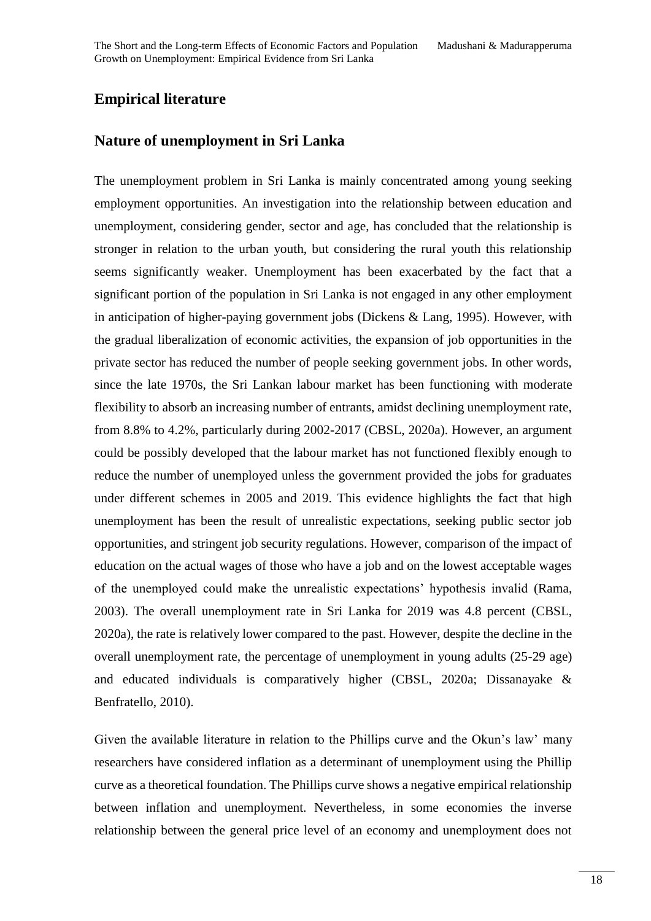# **Empirical literature**

### **Nature of unemployment in Sri Lanka**

The unemployment problem in Sri Lanka is mainly concentrated among young seeking employment opportunities. An investigation into the relationship between education and unemployment, considering gender, sector and age, has concluded that the relationship is stronger in relation to the urban youth, but considering the rural youth this relationship seems significantly weaker. Unemployment has been exacerbated by the fact that a significant portion of the population in Sri Lanka is not engaged in any other employment in anticipation of higher-paying government jobs (Dickens & Lang, 1995). However, with the gradual liberalization of economic activities, the expansion of job opportunities in the private sector has reduced the number of people seeking government jobs. In other words, since the late 1970s, the Sri Lankan labour market has been functioning with moderate flexibility to absorb an increasing number of entrants, amidst declining unemployment rate, from 8.8% to 4.2%, particularly during 2002-2017 (CBSL, 2020a). However, an argument could be possibly developed that the labour market has not functioned flexibly enough to reduce the number of unemployed unless the government provided the jobs for graduates under different schemes in 2005 and 2019. This evidence highlights the fact that high unemployment has been the result of unrealistic expectations, seeking public sector job opportunities, and stringent job security regulations. However, comparison of the impact of education on the actual wages of those who have a job and on the lowest acceptable wages of the unemployed could make the unrealistic expectations' hypothesis invalid (Rama, 2003). The overall unemployment rate in Sri Lanka for 2019 was 4.8 percent (CBSL, 2020a), the rate is relatively lower compared to the past. However, despite the decline in the overall unemployment rate, the percentage of unemployment in young adults (25-29 age) and educated individuals is comparatively higher (CBSL, 2020a; Dissanayake & Benfratello, 2010).

Given the available literature in relation to the Phillips curve and the Okun's law' many researchers have considered inflation as a determinant of unemployment using the Phillip curve as a theoretical foundation. The Phillips curve shows a negative empirical relationship between inflation and unemployment. Nevertheless, in some economies the inverse relationship between the general price level of an economy and unemployment does not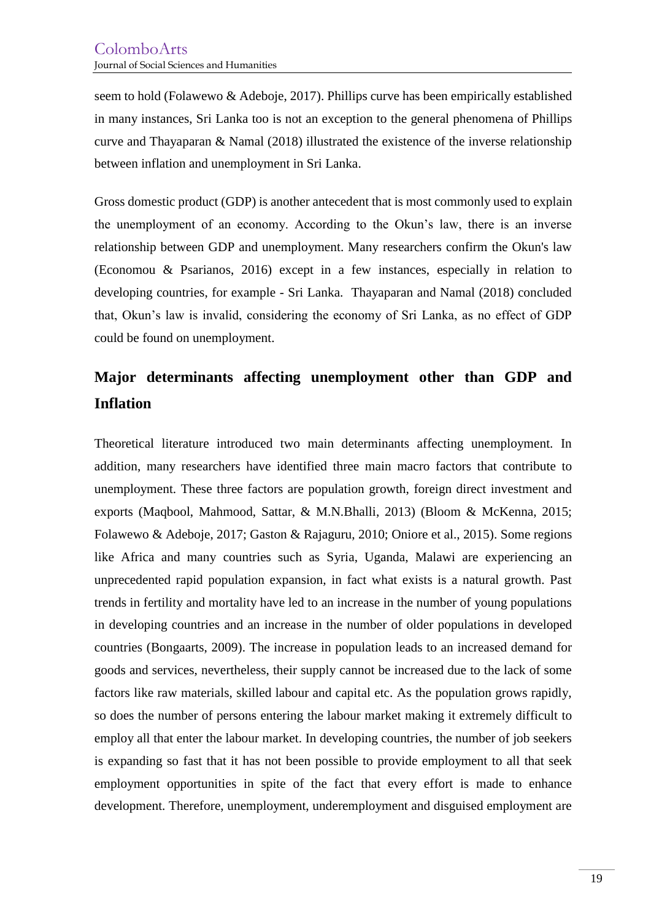seem to hold (Folawewo & Adeboje, 2017). Phillips curve has been empirically established in many instances, Sri Lanka too is not an exception to the general phenomena of Phillips curve and Thayaparan & Namal (2018) illustrated the existence of the inverse relationship between inflation and unemployment in Sri Lanka.

Gross domestic product (GDP) is another antecedent that is most commonly used to explain the unemployment of an economy. According to the Okun's law, there is an inverse relationship between GDP and unemployment. Many researchers confirm the Okun's law (Economou & Psarianos, 2016) except in a few instances, especially in relation to developing countries, for example - Sri Lanka. Thayaparan and Namal (2018) concluded that, Okun's law is invalid, considering the economy of Sri Lanka, as no effect of GDP could be found on unemployment.

# **Major determinants affecting unemployment other than GDP and Inflation**

Theoretical literature introduced two main determinants affecting unemployment. In addition, many researchers have identified three main macro factors that contribute to unemployment. These three factors are population growth, foreign direct investment and exports (Maqbool, Mahmood, Sattar, & M.N.Bhalli, 2013) (Bloom & McKenna, 2015; Folawewo & Adeboje, 2017; Gaston & Rajaguru, 2010; Oniore et al., 2015). Some regions like Africa and many countries such as Syria, Uganda, Malawi are experiencing an unprecedented rapid population expansion, in fact what exists is a natural growth. Past trends in fertility and mortality have led to an increase in the number of young populations in developing countries and an increase in the number of older populations in developed countries (Bongaarts, 2009). The increase in population leads to an increased demand for goods and services, nevertheless, their supply cannot be increased due to the lack of some factors like raw materials, skilled labour and capital etc. As the population grows rapidly, so does the number of persons entering the labour market making it extremely difficult to employ all that enter the labour market. In developing countries, the number of job seekers is expanding so fast that it has not been possible to provide employment to all that seek employment opportunities in spite of the fact that every effort is made to enhance development. Therefore, unemployment, underemployment and disguised employment are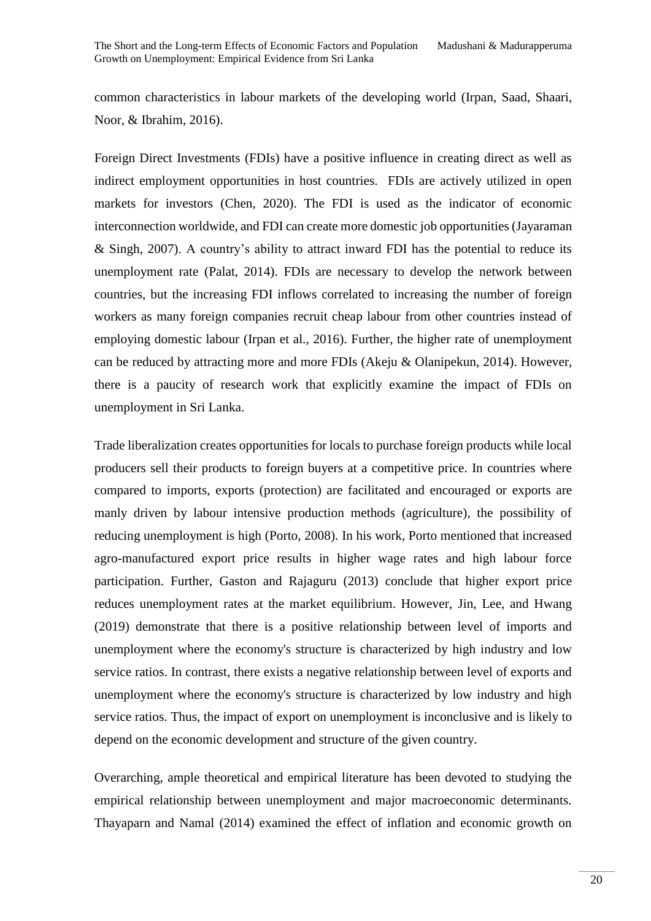common characteristics in labour markets of the developing world (Irpan, Saad, Shaari, Noor, & Ibrahim, 2016).

Foreign Direct Investments (FDIs) have a positive influence in creating direct as well as indirect employment opportunities in host countries. FDIs are actively utilized in open markets for investors (Chen, 2020). The FDI is used as the indicator of economic interconnection worldwide, and FDI can create more domestic job opportunities (Jayaraman & Singh, 2007). A country's ability to attract inward FDI has the potential to reduce its unemployment rate (Palat, 2014). FDIs are necessary to develop the network between countries, but the increasing FDI inflows correlated to increasing the number of foreign workers as many foreign companies recruit cheap labour from other countries instead of employing domestic labour (Irpan et al., 2016). Further, the higher rate of unemployment can be reduced by attracting more and more FDIs (Akeju & Olanipekun, 2014). However, there is a paucity of research work that explicitly examine the impact of FDIs on unemployment in Sri Lanka.

Trade liberalization creates opportunities for locals to purchase foreign products while local producers sell their products to foreign buyers at a competitive price. In countries where compared to imports, exports (protection) are facilitated and encouraged or exports are manly driven by labour intensive production methods (agriculture), the possibility of reducing unemployment is high (Porto, 2008). In his work, Porto mentioned that increased agro-manufactured export price results in higher wage rates and high labour force participation. Further, Gaston and Rajaguru (2013) conclude that higher export price reduces unemployment rates at the market equilibrium. However, Jin, Lee, and Hwang (2019) demonstrate that there is a positive relationship between level of imports and unemployment where the economy's structure is characterized by high industry and low service ratios. In contrast, there exists a negative relationship between level of exports and unemployment where the economy's structure is characterized by low industry and high service ratios. Thus, the impact of export on unemployment is inconclusive and is likely to depend on the economic development and structure of the given country.

Overarching, ample theoretical and empirical literature has been devoted to studying the empirical relationship between unemployment and major macroeconomic determinants. Thayaparn and Namal (2014) examined the effect of inflation and economic growth on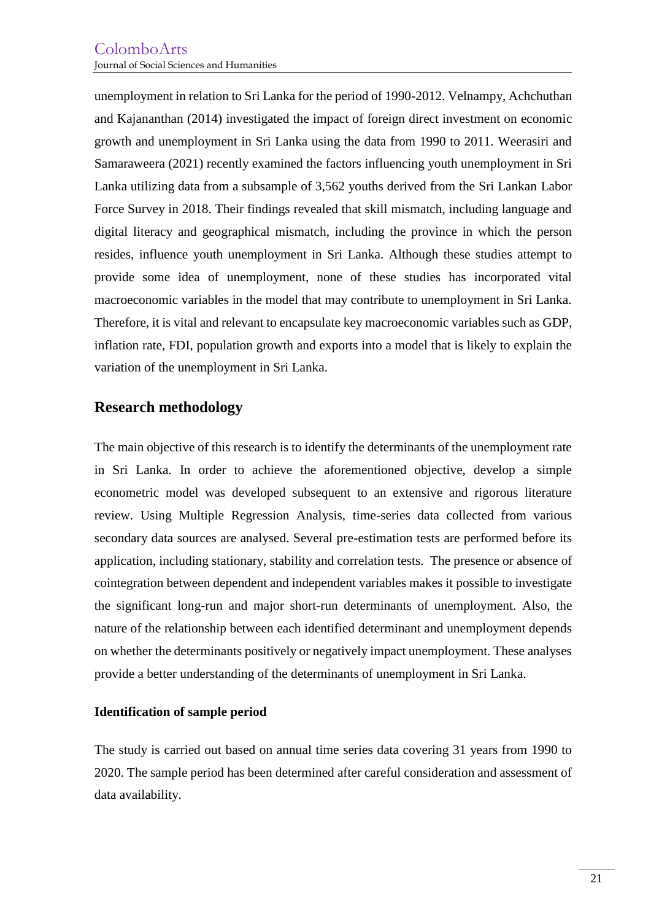unemployment in relation to Sri Lanka for the period of 1990-2012. Velnampy, Achchuthan and Kajananthan (2014) investigated the impact of foreign direct investment on economic growth and unemployment in Sri Lanka using the data from 1990 to 2011. Weerasiri and Samaraweera (2021) recently examined the factors influencing youth unemployment in Sri Lanka utilizing data from a subsample of 3,562 youths derived from the Sri Lankan Labor Force Survey in 2018. Their findings revealed that skill mismatch, including language and digital literacy and geographical mismatch, including the province in which the person resides, influence youth unemployment in Sri Lanka. Although these studies attempt to provide some idea of unemployment, none of these studies has incorporated vital macroeconomic variables in the model that may contribute to unemployment in Sri Lanka. Therefore, it is vital and relevant to encapsulate key macroeconomic variables such as GDP, inflation rate, FDI, population growth and exports into a model that is likely to explain the variation of the unemployment in Sri Lanka.

### **Research methodology**

The main objective of this research is to identify the determinants of the unemployment rate in Sri Lanka. In order to achieve the aforementioned objective, develop a simple econometric model was developed subsequent to an extensive and rigorous literature review. Using Multiple Regression Analysis, time-series data collected from various secondary data sources are analysed. Several pre-estimation tests are performed before its application, including stationary, stability and correlation tests. The presence or absence of cointegration between dependent and independent variables makes it possible to investigate the significant long-run and major short-run determinants of unemployment. Also, the nature of the relationship between each identified determinant and unemployment depends on whether the determinants positively or negatively impact unemployment. These analyses provide a better understanding of the determinants of unemployment in Sri Lanka.

### **Identification of sample period**

The study is carried out based on annual time series data covering 31 years from 1990 to 2020. The sample period has been determined after careful consideration and assessment of data availability.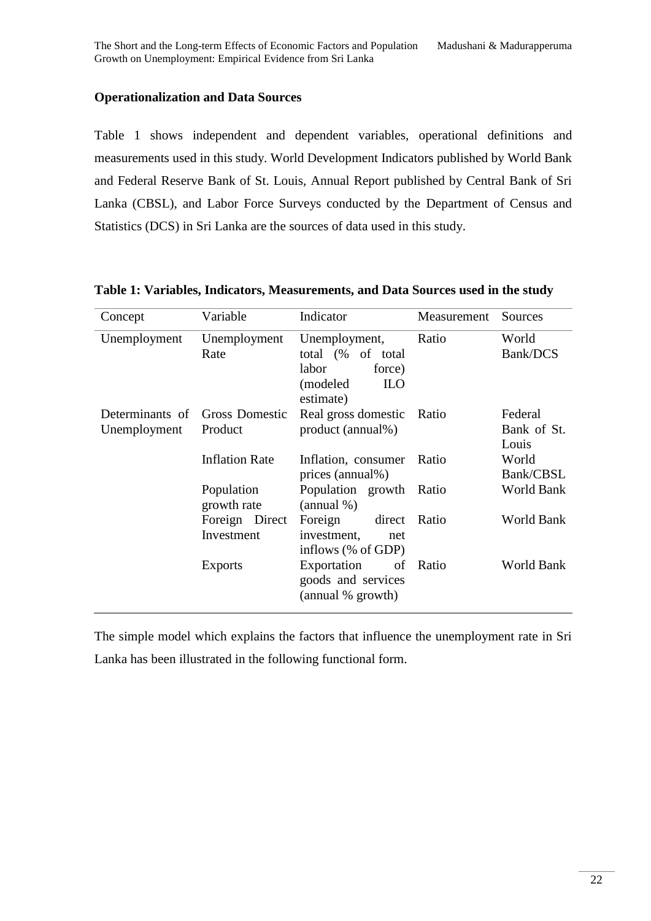### **Operationalization and Data Sources**

Table 1 shows independent and dependent variables, operational definitions and measurements used in this study. World Development Indicators published by World Bank and Federal Reserve Bank of St. Louis, Annual Report published by Central Bank of Sri Lanka (CBSL), and Labor Force Surveys conducted by the Department of Census and Statistics (DCS) in Sri Lanka are the sources of data used in this study.

| Concept                                        | Variable                     | Indicator                                                                                    | Measurement | Sources                         |
|------------------------------------------------|------------------------------|----------------------------------------------------------------------------------------------|-------------|---------------------------------|
| Unemployment                                   | Unemployment<br>Rate         | Unemployment,<br>total (% of total<br>labor<br>force)<br>(modeled<br><b>ILO</b><br>estimate) | Ratio       | World<br>Bank/DCS               |
| Determinants of Gross Domestic<br>Unemployment | Product                      | Real gross domestic<br>product (annual%)                                                     | Ratio       | Federal<br>Bank of St.<br>Louis |
|                                                | <b>Inflation Rate</b>        | Inflation, consumer<br>prices (annual%)                                                      | Ratio       | World<br>Bank/CBSL              |
|                                                | Population<br>growth rate    | Population growth<br>(annual %)                                                              | Ratio       | World Bank                      |
|                                                | Foreign Direct<br>Investment | Foreign<br>direct<br>investment,<br>net<br>inflows (% of GDP)                                | Ratio       | World Bank                      |
|                                                | <b>Exports</b>               | Exportation<br>of<br>goods and services<br>(annual % growth)                                 | Ratio       | World Bank                      |

#### **Table 1: Variables, Indicators, Measurements, and Data Sources used in the study**

The simple model which explains the factors that influence the unemployment rate in Sri Lanka has been illustrated in the following functional form.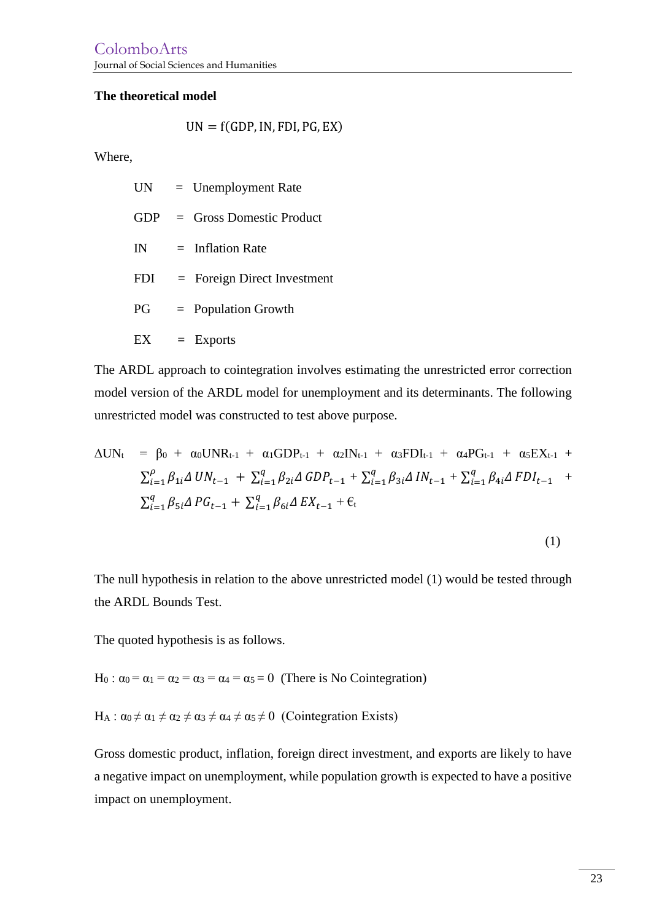#### **The theoretical model**

$$
UN = f(GDP, IN, FDI, PG, EX)
$$

Where,

|            | $UN = Unemployment Rate$       |
|------------|--------------------------------|
|            | $GDP = Gross$ Domestic Product |
| IN         | $=$ Inflation Rate             |
| <b>FDI</b> | $=$ Foreign Direct Investment  |
| PG         | $=$ Population Growth          |
| EX         | $=$ Exports                    |

The ARDL approach to cointegration involves estimating the unrestricted error correction model version of the ARDL model for unemployment and its determinants. The following unrestricted model was constructed to test above purpose.

$$
\Delta UN_{t} = \beta_{0} + \alpha_{0} UNR_{t-1} + \alpha_{1} GDP_{t-1} + \alpha_{2} IN_{t-1} + \alpha_{3} FDI_{t-1} + \alpha_{4} PG_{t-1} + \alpha_{5} EX_{t-1} + \sum_{i=1}^{p} \beta_{1i} \Delta UN_{t-1} + \sum_{i=1}^{q} \beta_{2i} \Delta GDP_{t-1} + \sum_{i=1}^{q} \beta_{3i} \Delta IN_{t-1} + \sum_{i=1}^{q} \beta_{4i} \Delta FDI_{t-1} + \sum_{i=1}^{q} \beta_{5i} \Delta PG_{t-1} + \sum_{i=1}^{q} \beta_{6i} \Delta EX_{t-1} + \epsilon_{t}
$$

$$
(1)
$$

The null hypothesis in relation to the above unrestricted model (1) would be tested through the ARDL Bounds Test.

The quoted hypothesis is as follows.

H<sub>0</sub> :  $\alpha_0 = \alpha_1 = \alpha_2 = \alpha_3 = \alpha_4 = \alpha_5 = 0$  (There is No Cointegration)

 $H_A$ :  $\alpha_0 \neq \alpha_1 \neq \alpha_2 \neq \alpha_3 \neq \alpha_4 \neq \alpha_5 \neq 0$  (Cointegration Exists)

Gross domestic product, inflation, foreign direct investment, and exports are likely to have a negative impact on unemployment, while population growth is expected to have a positive impact on unemployment.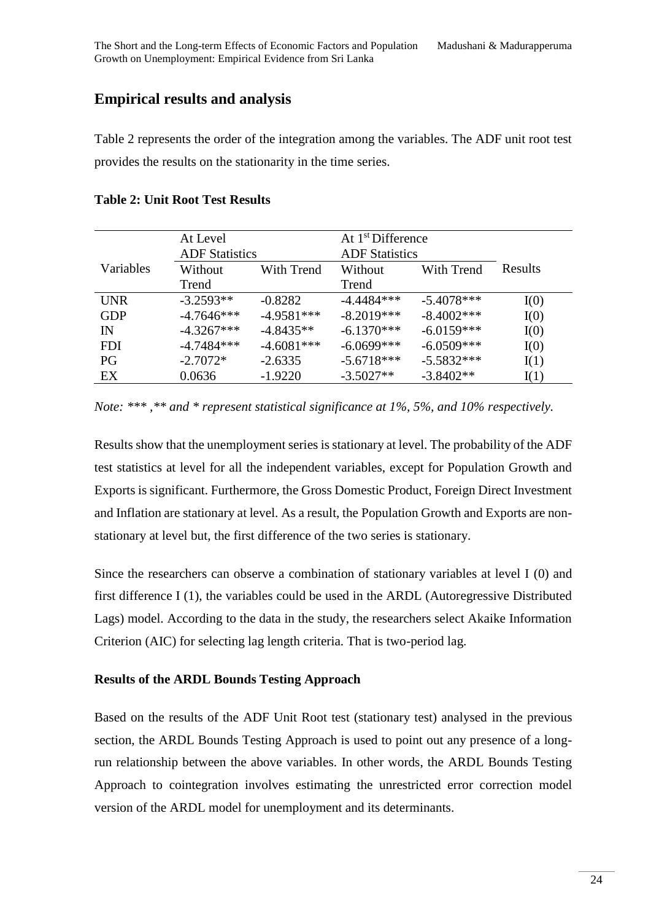## **Empirical results and analysis**

Table 2 represents the order of the integration among the variables. The ADF unit root test provides the results on the stationarity in the time series.

|            | At Level              |              | At $1st$ Difference   |               |         |
|------------|-----------------------|--------------|-----------------------|---------------|---------|
|            | <b>ADF</b> Statistics |              | <b>ADF</b> Statistics |               |         |
| Variables  | Without               | With Trend   | Without               | With Trend    | Results |
|            | Trend                 |              | Trend                 |               |         |
| <b>UNR</b> | $-3.2593**$           | $-0.8282$    | $-4.4484***$          | $-5.4078***$  | I(0)    |
| <b>GDP</b> | $-4.7646***$          | $-4.9581***$ | $-8.2019***$          | $-8.4002$ *** | I(0)    |
| IN         | $-4.3267***$          | $-4.8435**$  | $-6.1370***$          | $-6.0159***$  | I(0)    |
| <b>FDI</b> | $-4.7484***$          | $-4.6081***$ | $-6.0699***$          | $-6.0509***$  | I(0)    |
| <b>PG</b>  | $-2.7072*$            | $-2.6335$    | $-5.6718***$          | $-5.5832***$  | I(1)    |
| EX         | 0.0636                | $-1.9220$    | $-3.5027**$           | $-3.8402**$   | I(1)    |

**Table 2: Unit Root Test Results**

Results show that the unemployment series is stationary at level. The probability of the ADF test statistics at level for all the independent variables, except for Population Growth and Exports is significant. Furthermore, the Gross Domestic Product, Foreign Direct Investment and Inflation are stationary at level. As a result, the Population Growth and Exports are nonstationary at level but, the first difference of the two series is stationary.

Since the researchers can observe a combination of stationary variables at level I (0) and first difference I (1), the variables could be used in the ARDL (Autoregressive Distributed Lags) model. According to the data in the study, the researchers select Akaike Information Criterion (AIC) for selecting lag length criteria. That is two-period lag.

### **Results of the ARDL Bounds Testing Approach**

Based on the results of the ADF Unit Root test (stationary test) analysed in the previous section, the ARDL Bounds Testing Approach is used to point out any presence of a longrun relationship between the above variables. In other words, the ARDL Bounds Testing Approach to cointegration involves estimating the unrestricted error correction model version of the ARDL model for unemployment and its determinants.

*Note: \*\*\* ,\*\* and \* represent statistical significance at 1%, 5%, and 10% respectively.*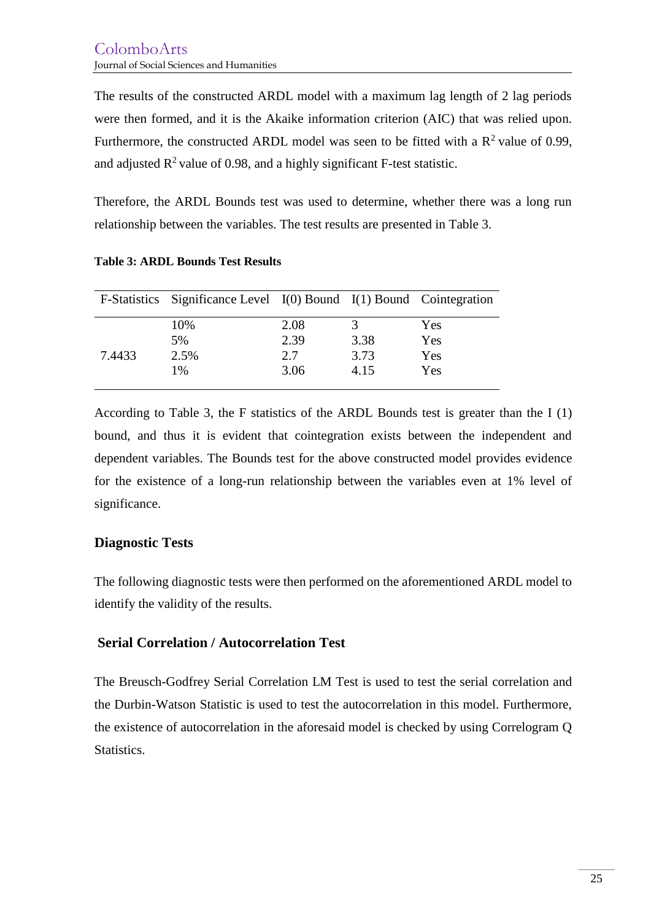The results of the constructed ARDL model with a maximum lag length of 2 lag periods were then formed, and it is the Akaike information criterion (AIC) that was relied upon. Furthermore, the constructed ARDL model was seen to be fitted with a  $R^2$  value of 0.99, and adjusted  $\mathbb{R}^2$  value of 0.98, and a highly significant F-test statistic.

Therefore, the ARDL Bounds test was used to determine, whether there was a long run relationship between the variables. The test results are presented in Table 3.

|        | F-Statistics Significance Level $I(0)$ Bound $I(1)$ Bound Cointegration |             |              |            |
|--------|-------------------------------------------------------------------------|-------------|--------------|------------|
|        | 10%                                                                     | 2.08        |              | Yes        |
|        | 5%                                                                      | 2.39        | 3.38         | Yes        |
| 7.4433 | 2.5%<br>1%                                                              | 2.7<br>3.06 | 3.73<br>4.15 | Yes<br>Yes |

**Table 3: ARDL Bounds Test Results**

According to Table 3, the F statistics of the ARDL Bounds test is greater than the I (1) bound, and thus it is evident that cointegration exists between the independent and dependent variables. The Bounds test for the above constructed model provides evidence for the existence of a long-run relationship between the variables even at 1% level of significance.

### **Diagnostic Tests**

The following diagnostic tests were then performed on the aforementioned ARDL model to identify the validity of the results.

### **Serial Correlation / Autocorrelation Test**

The Breusch-Godfrey Serial Correlation LM Test is used to test the serial correlation and the Durbin-Watson Statistic is used to test the autocorrelation in this model. Furthermore, the existence of autocorrelation in the aforesaid model is checked by using Correlogram Q Statistics.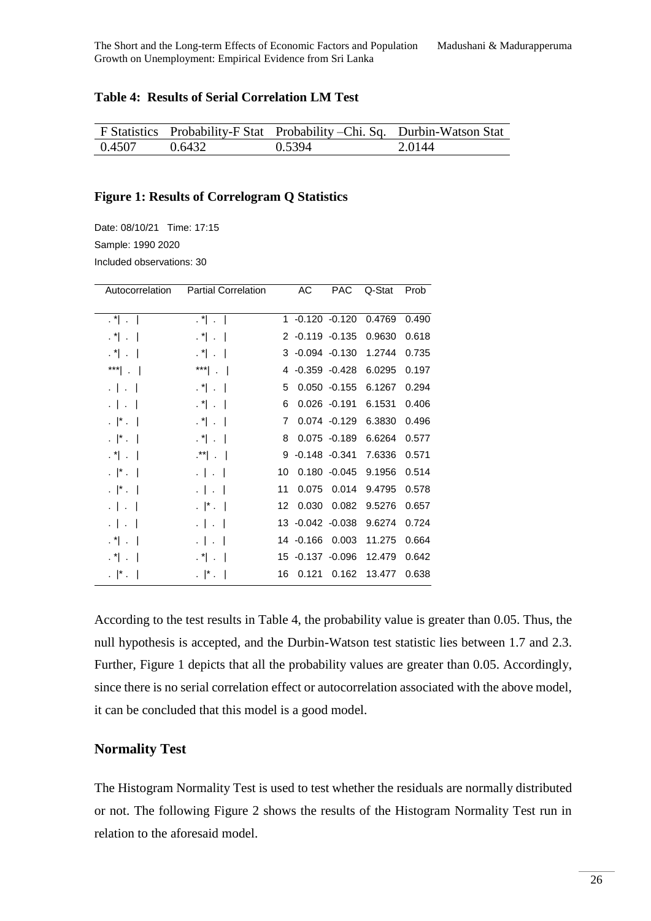#### **Table 4: Results of Serial Correlation LM Test**

|        |        | F Statistics Probability-F Stat Probability – Chi. Sq. Durbin-Watson Stat |        |
|--------|--------|---------------------------------------------------------------------------|--------|
| 0.4507 | 0.6432 | 0.5394                                                                    | 2.0144 |

#### **Figure 1: Results of Correlogram Q Statistics**

Date: 08/10/21 Time: 17:15 Sample: 1990 2020 Included observations: 30

| Autocorrelation             | <b>Partial Correlation</b>  |                  | АC                | <b>PAC</b>      | Q-Stat | Prob  |
|-----------------------------|-----------------------------|------------------|-------------------|-----------------|--------|-------|
|                             |                             |                  |                   |                 |        |       |
| $\cdot$ " $\cdot$           | $\mathbf{A}^*$ $\mathbf{A}$ |                  |                   | 1 -0.120 -0.120 | 0.4769 | 0.490 |
| $\mathbf{A}^*$ $\mathbf{A}$ | $\mathbf{A}^*$ $\mathbf{A}$ |                  | $2 -0.119 -0.135$ |                 | 0.9630 | 0.618 |
| $\mathbf{A}^*$ $\mathbf{A}$ | $\cdot$ 1 $\cdot$ 1         |                  | $3 -0.094 -0.130$ |                 | 1.2744 | 0.735 |
| $^{\ast\ast\ast}$ . $\vert$ | $\left  \cdot \right $      |                  |                   | 4 -0.359 -0.428 | 6.0295 | 0.197 |
| $\cdot$ $\cdot$ $\cdot$     | $\mathbf{A}^*$ $\mathbf{A}$ | 5                |                   | $0.050 -0.155$  | 6.1267 | 0.294 |
| $\cdot$ $\cdot$ $\cdot$     | $\cdot$ 1 $\cdot$ 1         | 6                |                   | $0.026 - 0.191$ | 6.1531 | 0.406 |
| $\cdot$  * $\cdot$          | $\cdot$ 1 $\cdot$ 1         | $7^{\circ}$      |                   | $0.074 - 0.129$ | 6.3830 | 0.496 |
| $\cdot$  * $\cdot$          | $\mathbf{A}^*$ $\mathbf{A}$ | 8                |                   | $0.075 - 0.189$ | 6.6264 | 0.577 |
| $\cdot$ " $\cdot$ 1         | $\cdot$ $\cdot$ $\vert$     |                  | $9 -0.148 -0.341$ |                 | 7.6336 | 0.571 |
| $\cdot$  * $\cdot$          | $-1 - 1$                    | 10               |                   | $0.180 - 0.045$ | 9.1956 | 0.514 |
| $\cdot$  * $\cdot$          | $\cdot$   $\cdot$           | 11               | 0.075             | 0.014           | 9.4795 | 0.578 |
| $\cdot$   $\cdot$           | $\cdot$  * $\cdot$          | 12 <sup>12</sup> | 0.030             | 0.082           | 9.5276 | 0.657 |
| $\cdot$ $\vert \cdot \vert$ | $\cdot$ $\cdot$ $\cdot$     |                  | 13 -0.042 -0.038  |                 | 9.6274 | 0.724 |
| $\cdot$ 1 $\cdot$ 1         | $\cdot$   $\cdot$           |                  | 14 -0.166         | 0.003           | 11.275 | 0.664 |
| $\cdot$ 1 $\cdot$ 1         | $\cdot$ 1 $\cdot$ 1         |                  | 15 -0.137 -0.096  |                 | 12.479 | 0.642 |
| $\cdot$  * $\cdot$          | $\cdot$   $\cdot$           | 16               | 0.121             | 0.162           | 13.477 | 0.638 |

According to the test results in Table 4, the probability value is greater than 0.05. Thus, the null hypothesis is accepted, and the Durbin-Watson test statistic lies between 1.7 and 2.3. Further, Figure 1 depicts that all the probability values are greater than 0.05. Accordingly, since there is no serial correlation effect or autocorrelation associated with the above model, it can be concluded that this model is a good model.

### **Normality Test**

The Histogram Normality Test is used to test whether the residuals are normally distributed or not. The following Figure 2 shows the results of the Histogram Normality Test run in relation to the aforesaid model.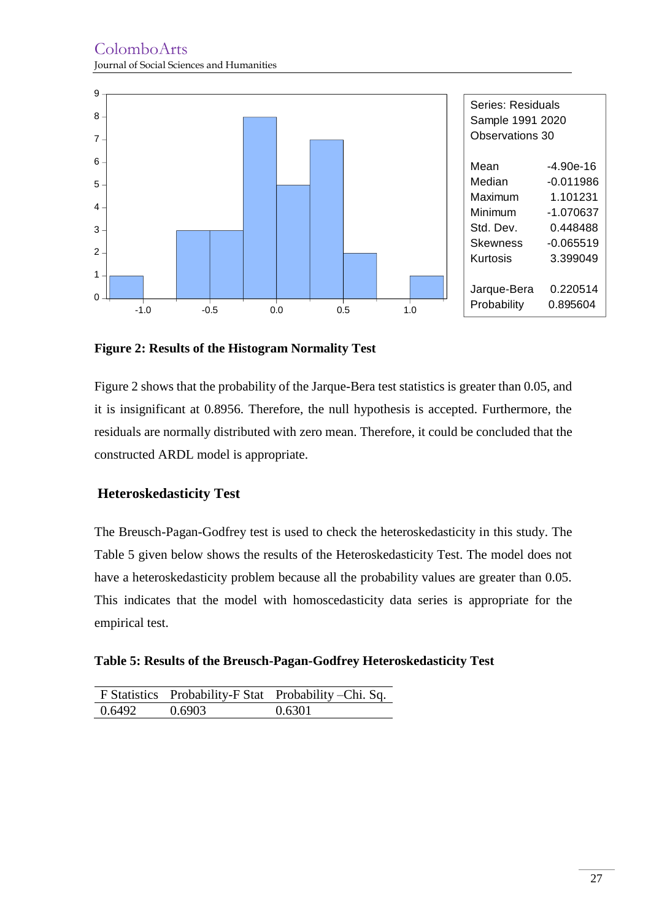

**Figure 2: Results of the Histogram Normality Test**

Figure 2 shows that the probability of the Jarque-Bera test statistics is greater than 0.05, and it is insignificant at 0.8956. Therefore, the null hypothesis is accepted. Furthermore, the residuals are normally distributed with zero mean. Therefore, it could be concluded that the constructed ARDL model is appropriate.

### **Heteroskedasticity Test**

The Breusch-Pagan-Godfrey test is used to check the heteroskedasticity in this study. The Table 5 given below shows the results of the Heteroskedasticity Test. The model does not have a heteroskedasticity problem because all the probability values are greater than 0.05. This indicates that the model with homoscedasticity data series is appropriate for the empirical test.

**Table 5: Results of the Breusch-Pagan-Godfrey Heteroskedasticity Test**

|        |        | F Statistics Probability-F Stat Probability-Chi. Sq. |
|--------|--------|------------------------------------------------------|
| 0.6492 | 0.6903 | 0.6301                                               |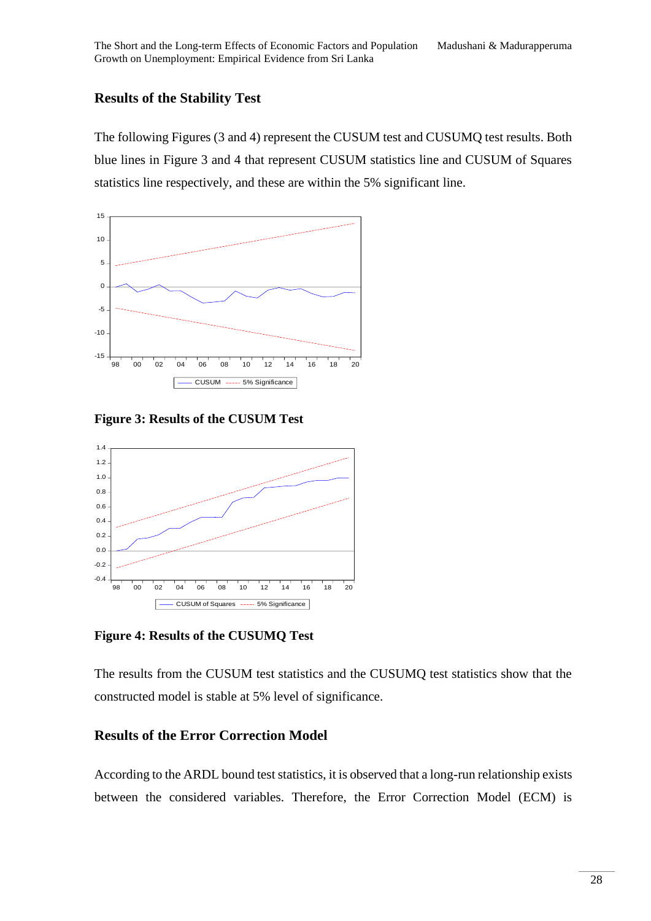### **Results of the Stability Test**

The following Figures (3 and 4) represent the CUSUM test and CUSUMQ test results. Both blue lines in Figure 3 and 4 that represent CUSUM statistics line and CUSUM of Squares statistics line respectively, and these are within the 5% significant line.



**Figure 3: Results of the CUSUM Test**



**Figure 4: Results of the CUSUMQ Test**

The results from the CUSUM test statistics and the CUSUMQ test statistics show that the constructed model is stable at 5% level of significance.

### **Results of the Error Correction Model**

According to the ARDL bound test statistics, it is observed that a long-run relationship exists between the considered variables. Therefore, the Error Correction Model (ECM) is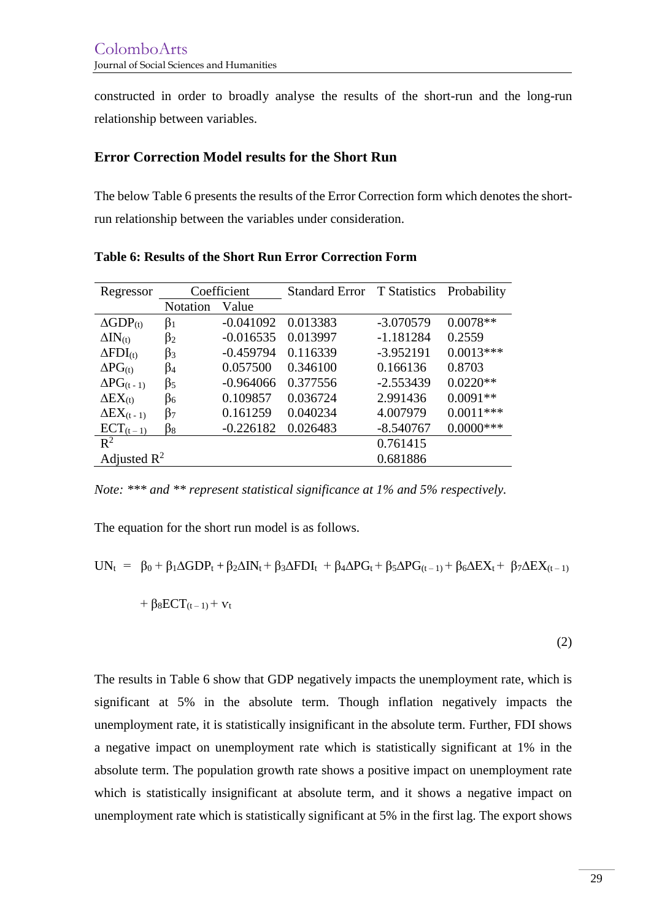constructed in order to broadly analyse the results of the short-run and the long-run relationship between variables.

### **Error Correction Model results for the Short Run**

The below Table 6 presents the results of the Error Correction form which denotes the shortrun relationship between the variables under consideration.

| Regressor                    | Coefficient     |             | <b>Standard Error</b> | <b>T</b> Statistics | Probability  |
|------------------------------|-----------------|-------------|-----------------------|---------------------|--------------|
|                              | <b>Notation</b> | Value       |                       |                     |              |
| $\Delta GDP_{(t)}$           | $\beta_1$       | $-0.041092$ | 0.013383              | $-3.070579$         | $0.0078**$   |
| $\Delta IN_{(t)}$            | $\beta_2$       | $-0.016535$ | 0.013997              | $-1.181284$         | 0.2559       |
| $\Delta FDI_{(t)}$           | $\beta_3$       | $-0.459794$ | 0.116339              | $-3.952191$         | $0.0013***$  |
| $\Delta PG_{(t)}$            | $\beta_4$       | 0.057500    | 0.346100              | 0.166136            | 0.8703       |
| $\Delta PG_{(t-1)}$          | $\beta_5$       | $-0.964066$ | 0.377556              | $-2.553439$         | $0.0220**$   |
| $\Delta$ E $X_{(t)}$         | $\beta_6$       | 0.109857    | 0.036724              | 2.991436            | $0.0091**$   |
| $\Delta$ EX <sub>(t-1)</sub> | $\beta_7$       | 0.161259    | 0.040234              | 4.007979            | $0.0011***$  |
| $ECT_{(t-1)}$                | β8              | $-0.226182$ | 0.026483              | $-8.540767$         | $0.0000$ *** |
| $R^2$                        |                 |             |                       | 0.761415            |              |
| Adjusted $\mathbb{R}^2$      |                 |             |                       | 0.681886            |              |

**Table 6: Results of the Short Run Error Correction Form**

*Note: \*\*\* and \*\* represent statistical significance at 1% and 5% respectively.*

The equation for the short run model is as follows.

$$
UN_t = \beta_0 + \beta_1 \Delta GDP_t + \beta_2 \Delta IN_t + \beta_3 \Delta FDI_t + \beta_4 \Delta PG_t + \beta_5 \Delta PG_{(t-1)} + \beta_6 \Delta EX_t + \beta_7 \Delta EX_{(t-1)}
$$

$$
+\ \beta_8 ECT_{(t-1)} + \mathbf{v}_t
$$

(2)

The results in Table 6 show that GDP negatively impacts the unemployment rate, which is significant at 5% in the absolute term. Though inflation negatively impacts the unemployment rate, it is statistically insignificant in the absolute term. Further, FDI shows a negative impact on unemployment rate which is statistically significant at 1% in the absolute term. The population growth rate shows a positive impact on unemployment rate which is statistically insignificant at absolute term, and it shows a negative impact on unemployment rate which is statistically significant at 5% in the first lag. The export shows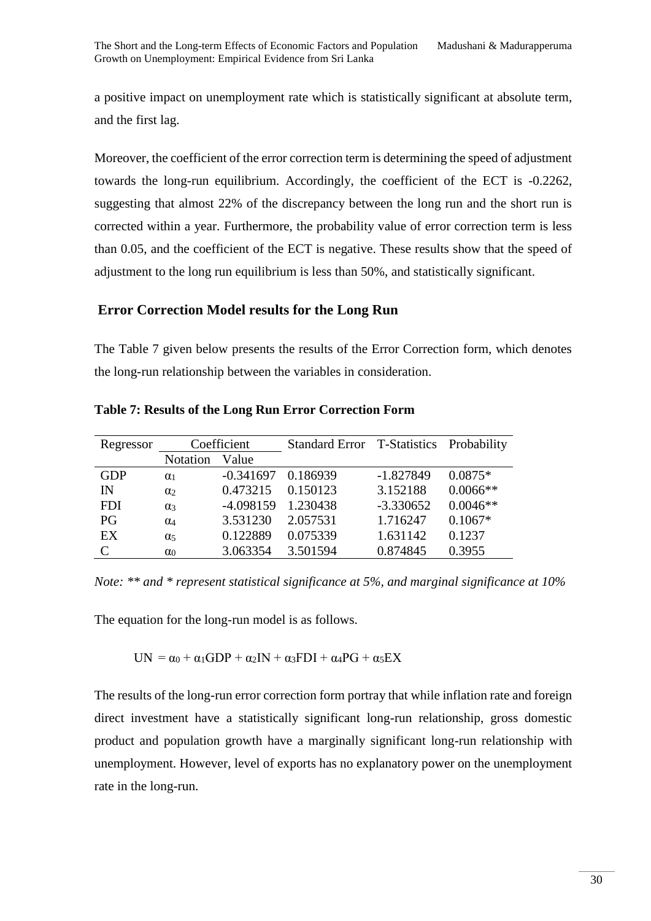a positive impact on unemployment rate which is statistically significant at absolute term, and the first lag.

Moreover, the coefficient of the error correction term is determining the speed of adjustment towards the long-run equilibrium. Accordingly, the coefficient of the ECT is -0.2262, suggesting that almost 22% of the discrepancy between the long run and the short run is corrected within a year. Furthermore, the probability value of error correction term is less than 0.05, and the coefficient of the ECT is negative. These results show that the speed of adjustment to the long run equilibrium is less than 50%, and statistically significant.

### **Error Correction Model results for the Long Run**

The Table 7 given below presents the results of the Error Correction form, which denotes the long-run relationship between the variables in consideration.

| Regressor  | Coefficient           |             | Standard Error T-Statistics Probability |             |            |
|------------|-----------------------|-------------|-----------------------------------------|-------------|------------|
|            | <b>Notation</b>       | Value       |                                         |             |            |
| <b>GDP</b> | $\alpha_1$            | $-0.341697$ | 0.186939                                | $-1.827849$ | $0.0875*$  |
| IN         | $\alpha$              | 0.473215    | 0.150123                                | 3.152188    | $0.0066**$ |
| <b>FDI</b> | $\alpha_3$            | -4.098159   | 1.230438                                | $-3.330652$ | $0.0046**$ |
| PG         | $\alpha_4$            | 3.531230    | 2.057531                                | 1.716247    | $0.1067*$  |
| EX         | $\alpha$ <sub>5</sub> | 0.122889    | 0.075339                                | 1.631142    | 0.1237     |
| C          | $\alpha_0$            | 3.063354    | 3.501594                                | 0.874845    | 0.3955     |

**Table 7: Results of the Long Run Error Correction Form**

*Note: \*\* and \* represent statistical significance at 5%, and marginal significance at 10%*

The equation for the long-run model is as follows.

UN =  $\alpha_0$  +  $\alpha_1$ GDP +  $\alpha_2$ IN +  $\alpha_3$ FDI +  $\alpha_4$ PG +  $\alpha_5$ EX

The results of the long-run error correction form portray that while inflation rate and foreign direct investment have a statistically significant long-run relationship, gross domestic product and population growth have a marginally significant long-run relationship with unemployment. However, level of exports has no explanatory power on the unemployment rate in the long-run.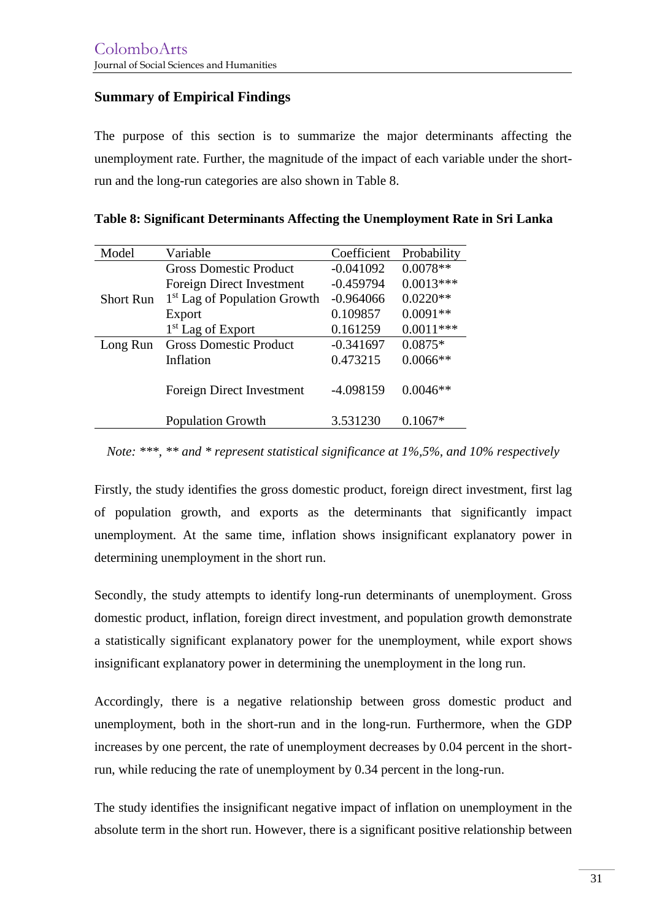### **Summary of Empirical Findings**

The purpose of this section is to summarize the major determinants affecting the unemployment rate. Further, the magnitude of the impact of each variable under the shortrun and the long-run categories are also shown in Table 8.

| Model            | Variable                                | Coefficient | Probability |
|------------------|-----------------------------------------|-------------|-------------|
|                  | <b>Gross Domestic Product</b>           | $-0.041092$ | $0.0078**$  |
|                  | Foreign Direct Investment               | $-0.459794$ | $0.0013***$ |
| <b>Short Run</b> | <sup>1st</sup> Lag of Population Growth | $-0.964066$ | $0.0220**$  |
|                  | Export                                  | 0.109857    | $0.0091**$  |
|                  | 1 <sup>st</sup> Lag of Export           | 0.161259    | $0.0011***$ |
| Long Run         | <b>Gross Domestic Product</b>           |             | $0.0875*$   |
|                  | Inflation                               | 0.473215    | $0.0066**$  |
|                  |                                         |             |             |
|                  | Foreign Direct Investment               | -4.098159   | $0.0046**$  |
|                  |                                         |             |             |
|                  | <b>Population Growth</b>                | 3.531230    | $0.1067*$   |

|  | Table 8: Significant Determinants Affecting the Unemployment Rate in Sri Lanka |  |  |
|--|--------------------------------------------------------------------------------|--|--|
|  |                                                                                |  |  |

*Note: \*\*\*, \*\* and \* represent statistical significance at 1%,5%, and 10% respectively*

Firstly, the study identifies the gross domestic product, foreign direct investment, first lag of population growth, and exports as the determinants that significantly impact unemployment. At the same time, inflation shows insignificant explanatory power in determining unemployment in the short run.

Secondly, the study attempts to identify long-run determinants of unemployment. Gross domestic product, inflation, foreign direct investment, and population growth demonstrate a statistically significant explanatory power for the unemployment, while export shows insignificant explanatory power in determining the unemployment in the long run.

Accordingly, there is a negative relationship between gross domestic product and unemployment, both in the short-run and in the long-run. Furthermore, when the GDP increases by one percent, the rate of unemployment decreases by 0.04 percent in the shortrun, while reducing the rate of unemployment by 0.34 percent in the long-run.

The study identifies the insignificant negative impact of inflation on unemployment in the absolute term in the short run. However, there is a significant positive relationship between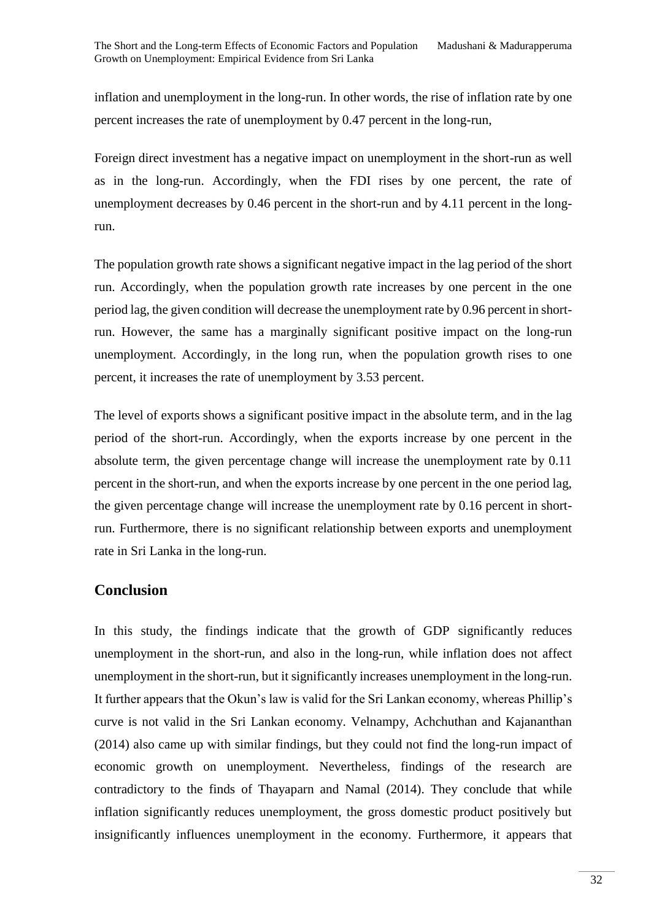inflation and unemployment in the long-run. In other words, the rise of inflation rate by one percent increases the rate of unemployment by 0.47 percent in the long-run,

Foreign direct investment has a negative impact on unemployment in the short-run as well as in the long-run. Accordingly, when the FDI rises by one percent, the rate of unemployment decreases by 0.46 percent in the short-run and by 4.11 percent in the longrun.

The population growth rate shows a significant negative impact in the lag period of the short run. Accordingly, when the population growth rate increases by one percent in the one period lag, the given condition will decrease the unemployment rate by 0.96 percent in shortrun. However, the same has a marginally significant positive impact on the long-run unemployment. Accordingly, in the long run, when the population growth rises to one percent, it increases the rate of unemployment by 3.53 percent.

The level of exports shows a significant positive impact in the absolute term, and in the lag period of the short-run. Accordingly, when the exports increase by one percent in the absolute term, the given percentage change will increase the unemployment rate by 0.11 percent in the short-run, and when the exports increase by one percent in the one period lag, the given percentage change will increase the unemployment rate by 0.16 percent in shortrun. Furthermore, there is no significant relationship between exports and unemployment rate in Sri Lanka in the long-run.

### **Conclusion**

In this study, the findings indicate that the growth of GDP significantly reduces unemployment in the short-run, and also in the long-run, while inflation does not affect unemployment in the short-run, but it significantly increases unemployment in the long-run. It further appears that the Okun's law is valid for the Sri Lankan economy, whereas Phillip's curve is not valid in the Sri Lankan economy. Velnampy, Achchuthan and Kajananthan (2014) also came up with similar findings, but they could not find the long-run impact of economic growth on unemployment. Nevertheless, findings of the research are contradictory to the finds of Thayaparn and Namal (2014). They conclude that while inflation significantly reduces unemployment, the gross domestic product positively but insignificantly influences unemployment in the economy. Furthermore, it appears that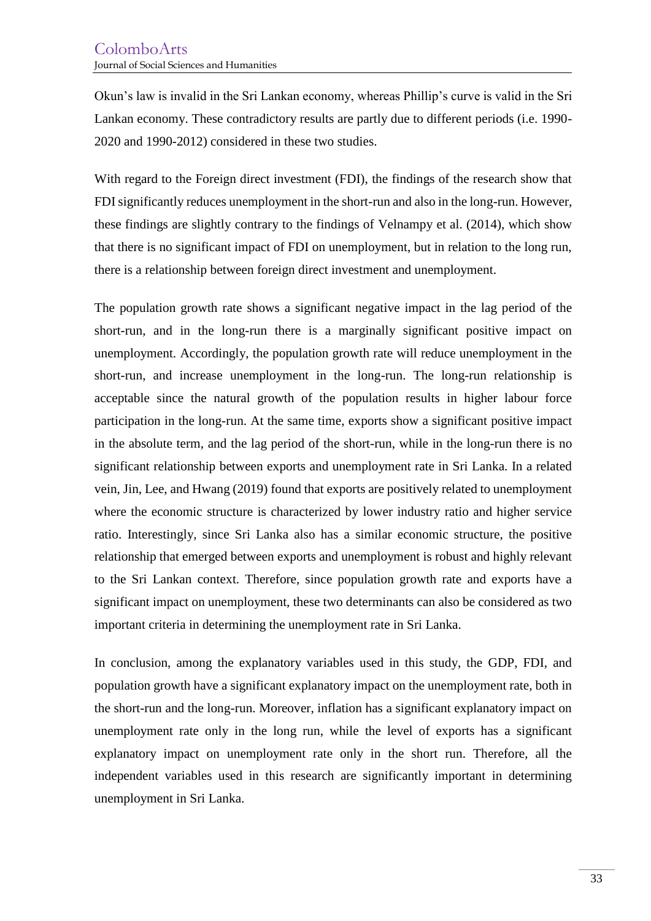Okun's law is invalid in the Sri Lankan economy, whereas Phillip's curve is valid in the Sri Lankan economy. These contradictory results are partly due to different periods (i.e. 1990- 2020 and 1990-2012) considered in these two studies.

With regard to the Foreign direct investment (FDI), the findings of the research show that FDI significantly reduces unemployment in the short-run and also in the long-run. However, these findings are slightly contrary to the findings of Velnampy et al. (2014), which show that there is no significant impact of FDI on unemployment, but in relation to the long run, there is a relationship between foreign direct investment and unemployment.

The population growth rate shows a significant negative impact in the lag period of the short-run, and in the long-run there is a marginally significant positive impact on unemployment. Accordingly, the population growth rate will reduce unemployment in the short-run, and increase unemployment in the long-run. The long-run relationship is acceptable since the natural growth of the population results in higher labour force participation in the long-run. At the same time, exports show a significant positive impact in the absolute term, and the lag period of the short-run, while in the long-run there is no significant relationship between exports and unemployment rate in Sri Lanka. In a related vein, Jin, Lee, and Hwang (2019) found that exports are positively related to unemployment where the economic structure is characterized by lower industry ratio and higher service ratio. Interestingly, since Sri Lanka also has a similar economic structure, the positive relationship that emerged between exports and unemployment is robust and highly relevant to the Sri Lankan context. Therefore, since population growth rate and exports have a significant impact on unemployment, these two determinants can also be considered as two important criteria in determining the unemployment rate in Sri Lanka.

In conclusion, among the explanatory variables used in this study, the GDP, FDI, and population growth have a significant explanatory impact on the unemployment rate, both in the short-run and the long-run. Moreover, inflation has a significant explanatory impact on unemployment rate only in the long run, while the level of exports has a significant explanatory impact on unemployment rate only in the short run. Therefore, all the independent variables used in this research are significantly important in determining unemployment in Sri Lanka.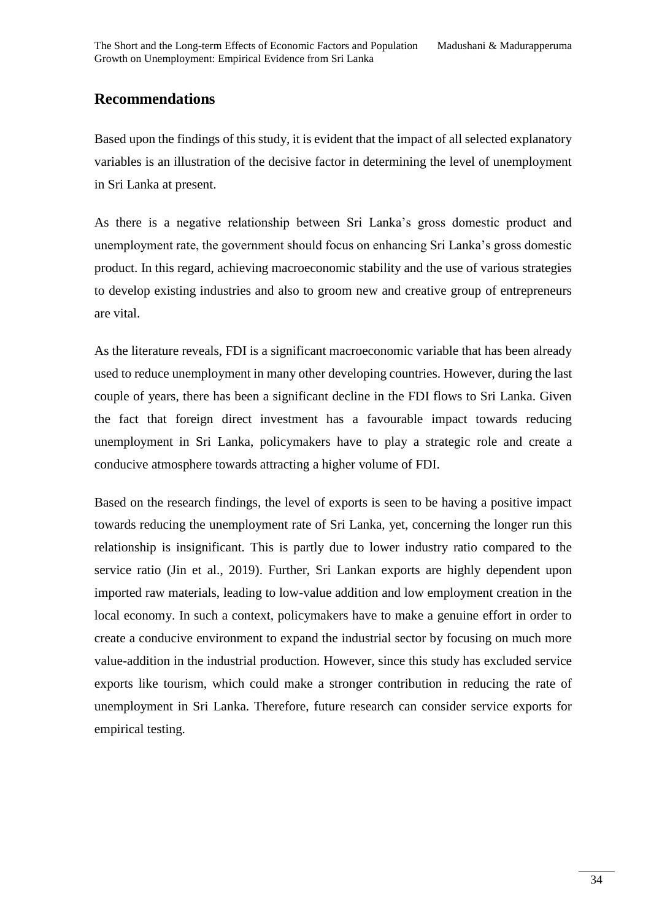## **Recommendations**

Based upon the findings of this study, it is evident that the impact of all selected explanatory variables is an illustration of the decisive factor in determining the level of unemployment in Sri Lanka at present.

As there is a negative relationship between Sri Lanka's gross domestic product and unemployment rate, the government should focus on enhancing Sri Lanka's gross domestic product. In this regard, achieving macroeconomic stability and the use of various strategies to develop existing industries and also to groom new and creative group of entrepreneurs are vital.

As the literature reveals, FDI is a significant macroeconomic variable that has been already used to reduce unemployment in many other developing countries. However, during the last couple of years, there has been a significant decline in the FDI flows to Sri Lanka. Given the fact that foreign direct investment has a favourable impact towards reducing unemployment in Sri Lanka, policymakers have to play a strategic role and create a conducive atmosphere towards attracting a higher volume of FDI.

Based on the research findings, the level of exports is seen to be having a positive impact towards reducing the unemployment rate of Sri Lanka, yet, concerning the longer run this relationship is insignificant. This is partly due to lower industry ratio compared to the service ratio (Jin et al., 2019). Further, Sri Lankan exports are highly dependent upon imported raw materials, leading to low-value addition and low employment creation in the local economy. In such a context, policymakers have to make a genuine effort in order to create a conducive environment to expand the industrial sector by focusing on much more value-addition in the industrial production. However, since this study has excluded service exports like tourism, which could make a stronger contribution in reducing the rate of unemployment in Sri Lanka. Therefore, future research can consider service exports for empirical testing.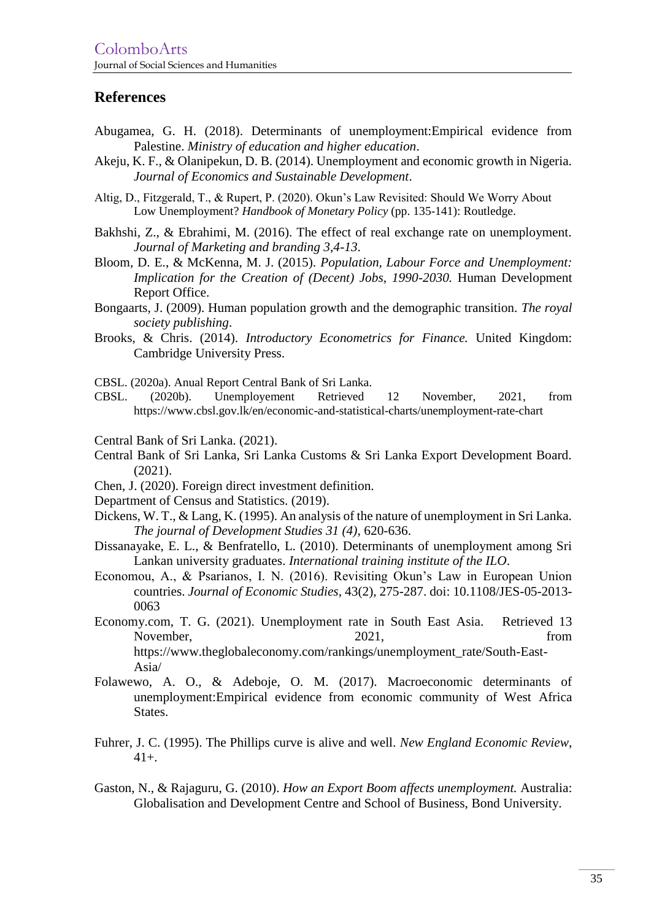### **References**

- Abugamea, G. H. (2018). Determinants of unemployment:Empirical evidence from Palestine. *Ministry of education and higher education*.
- Akeju, K. F., & Olanipekun, D. B. (2014). Unemployment and economic growth in Nigeria. *Journal of Economics and Sustainable Development*.
- Altig, D., Fitzgerald, T., & Rupert, P. (2020). Okun's Law Revisited: Should We Worry About Low Unemployment? *Handbook of Monetary Policy* (pp. 135-141): Routledge.
- Bakhshi, Z., & Ebrahimi, M. (2016). The effect of real exchange rate on unemployment. *Journal of Marketing and branding 3,4-13*.
- Bloom, D. E., & McKenna, M. J. (2015). *Population, Labour Force and Unemployment: Implication for the Creation of (Decent) Jobs, 1990-2030.* Human Development Report Office.
- Bongaarts, J. (2009). Human population growth and the demographic transition. *The royal society publishing*.
- Brooks, & Chris. (2014). *Introductory Econometrics for Finance.* United Kingdom: Cambridge University Press.
- CBSL. (2020a). Anual Report Central Bank of Sri Lanka.
- CBSL. (2020b). Unemployement Retrieved 12 November, 2021, from https://www.cbsl.gov.lk/en/economic-and-statistical-charts/unemployment-rate-chart
- Central Bank of Sri Lanka. (2021).
- Central Bank of Sri Lanka, Sri Lanka Customs & Sri Lanka Export Development Board. (2021).
- Chen, J. (2020). Foreign direct investment definition.
- Department of Census and Statistics. (2019).
- Dickens, W. T., & Lang, K. (1995). An analysis of the nature of unemployment in Sri Lanka. *The journal of Development Studies 31 (4)*, 620-636.
- Dissanayake, E. L., & Benfratello, L. (2010). Determinants of unemployment among Sri Lankan university graduates. *International training institute of the ILO*.
- Economou, A., & Psarianos, I. N. (2016). Revisiting Okun's Law in European Union countries. *Journal of Economic Studies*, 43(2), 275-287. doi: 10.1108/JES-05-2013- 0063
- Economy.com, T. G. (2021). Unemployment rate in South East Asia. Retrieved 13 November, 2021, from https://www.theglobaleconomy.com/rankings/unemployment\_rate/South-East-Asia/
- Folawewo, A. O., & Adeboje, O. M. (2017). Macroeconomic determinants of unemployment:Empirical evidence from economic community of West Africa States.
- Fuhrer, J. C. (1995). The Phillips curve is alive and well. *New England Economic Review*, 41+.
- Gaston, N., & Rajaguru, G. (2010). *How an Export Boom affects unemployment.* Australia: Globalisation and Development Centre and School of Business, Bond University.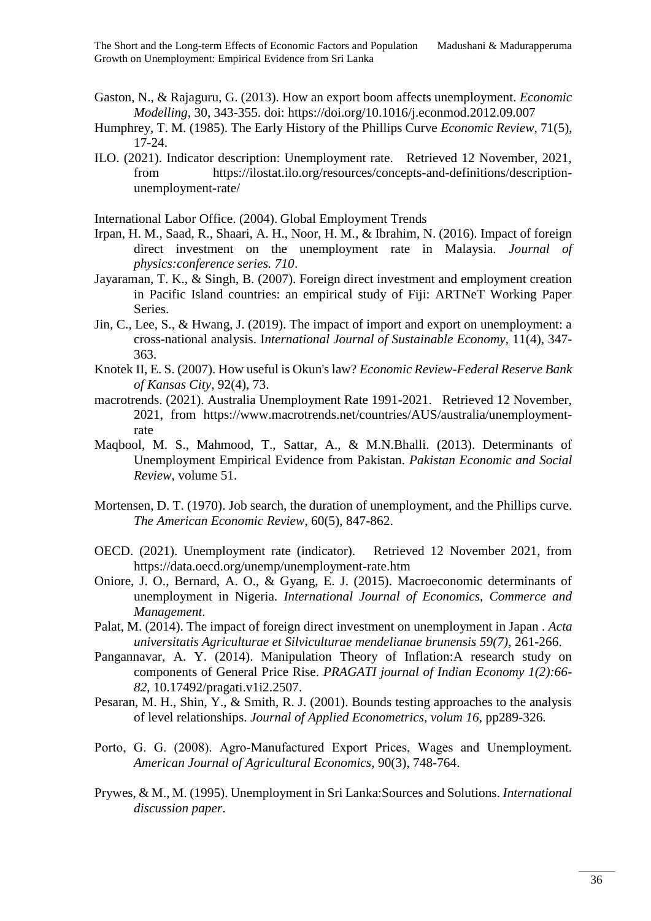- Gaston, N., & Rajaguru, G. (2013). How an export boom affects unemployment. *Economic Modelling*, 30, 343-355. doi: https://doi.org/10.1016/j.econmod.2012.09.007
- Humphrey, T. M. (1985). The Early History of the Phillips Curve *Economic Review*, 71(5), 17-24.
- ILO. (2021). Indicator description: Unemployment rate. Retrieved 12 November, 2021, from https://ilostat.ilo.org/resources/concepts-and-definitions/descriptionunemployment-rate/

International Labor Office. (2004). Global Employment Trends

- Irpan, H. M., Saad, R., Shaari, A. H., Noor, H. M., & Ibrahim, N. (2016). Impact of foreign direct investment on the unemployment rate in Malaysia. *Journal of physics:conference series. 710*.
- Jayaraman, T. K., & Singh, B. (2007). Foreign direct investment and employment creation in Pacific Island countries: an empirical study of Fiji: ARTNeT Working Paper Series.
- Jin, C., Lee, S., & Hwang, J. (2019). The impact of import and export on unemployment: a cross-national analysis. I*nternational Journal of Sustainable Economy*, 11(4), 347- 363.
- Knotek II, E. S. (2007). How useful is Okun's law? *Economic Review-Federal Reserve Bank of Kansas City*, 92(4), 73.
- macrotrends. (2021). Australia Unemployment Rate 1991-2021. Retrieved 12 November, 2021, from https://www.macrotrends.net/countries/AUS/australia/unemploymentrate
- Maqbool, M. S., Mahmood, T., Sattar, A., & M.N.Bhalli. (2013). Determinants of Unemployment Empirical Evidence from Pakistan. *Pakistan Economic and Social Review*, volume 51.
- Mortensen, D. T. (1970). Job search, the duration of unemployment, and the Phillips curve. *The American Economic Review*, 60(5), 847-862.
- OECD. (2021). Unemployment rate (indicator). Retrieved 12 November 2021, from https://data.oecd.org/unemp/unemployment-rate.htm
- Oniore, J. O., Bernard, A. O., & Gyang, E. J. (2015). Macroeconomic determinants of unemployment in Nigeria. *International Journal of Economics, Commerce and Management*.
- Palat, M. (2014). The impact of foreign direct investment on unemployment in Japan . *Acta universitatis Agriculturae et Silviculturae mendelianae brunensis 59(7)*, 261-266.
- Pangannavar, A. Y. (2014). Manipulation Theory of Inflation:A research study on components of General Price Rise. *PRAGATI journal of Indian Economy 1(2):66- 82*, 10.17492/pragati.v1i2.2507.
- Pesaran, M. H., Shin, Y., & Smith, R. J. (2001). Bounds testing approaches to the analysis of level relationships. *Journal of Applied Econometrics, volum 16*, pp289-326.
- Porto, G. G. (2008). Agro‐Manufactured Export Prices, Wages and Unemployment. *American Journal of Agricultural Economics*, 90(3), 748-764.
- Prywes, & M., M. (1995). Unemployment in Sri Lanka:Sources and Solutions. *International discussion paper*.